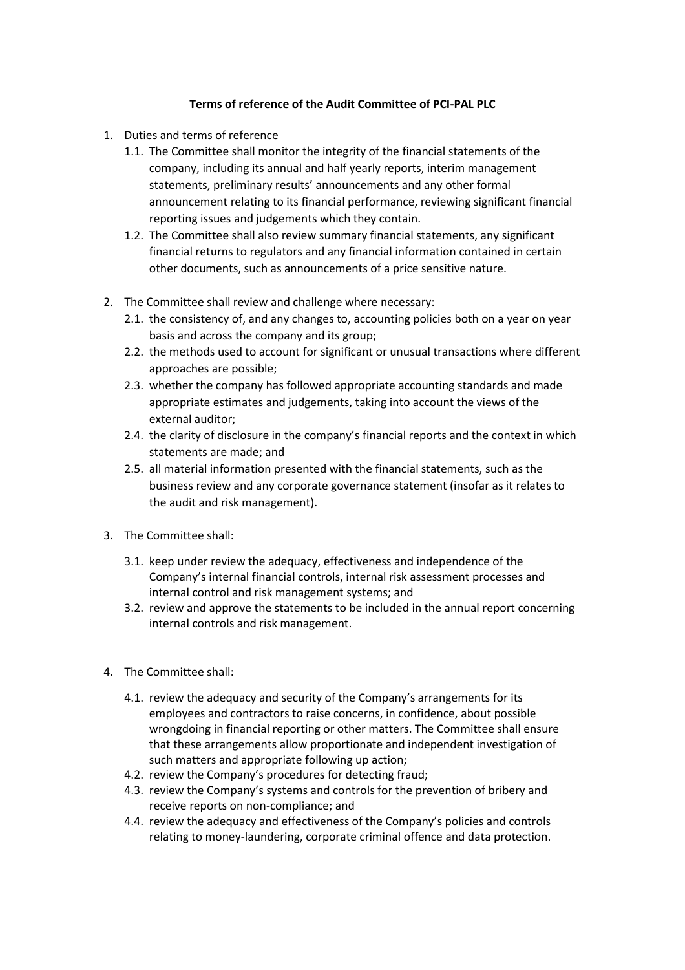## **Terms of reference of the Audit Committee of PCI-PAL PLC**

- 1. Duties and terms of reference
	- 1.1. The Committee shall monitor the integrity of the financial statements of the company, including its annual and half yearly reports, interim management statements, preliminary results' announcements and any other formal announcement relating to its financial performance, reviewing significant financial reporting issues and judgements which they contain.
	- 1.2. The Committee shall also review summary financial statements, any significant financial returns to regulators and any financial information contained in certain other documents, such as announcements of a price sensitive nature.
- 2. The Committee shall review and challenge where necessary:
	- 2.1. the consistency of, and any changes to, accounting policies both on a year on year basis and across the company and its group;
	- 2.2. the methods used to account for significant or unusual transactions where different approaches are possible;
	- 2.3. whether the company has followed appropriate accounting standards and made appropriate estimates and judgements, taking into account the views of the external auditor;
	- 2.4. the clarity of disclosure in the company's financial reports and the context in which statements are made; and
	- 2.5. all material information presented with the financial statements, such as the business review and any corporate governance statement (insofar as it relates to the audit and risk management).
- 3. The Committee shall:
	- 3.1. keep under review the adequacy, effectiveness and independence of the Company's internal financial controls, internal risk assessment processes and internal control and risk management systems; and
	- 3.2. review and approve the statements to be included in the annual report concerning internal controls and risk management.
- 4. The Committee shall:
	- 4.1. review the adequacy and security of the Company's arrangements for its employees and contractors to raise concerns, in confidence, about possible wrongdoing in financial reporting or other matters. The Committee shall ensure that these arrangements allow proportionate and independent investigation of such matters and appropriate following up action;
	- 4.2. review the Company's procedures for detecting fraud;
	- 4.3. review the Company's systems and controls for the prevention of bribery and receive reports on non-compliance; and
	- 4.4. review the adequacy and effectiveness of the Company's policies and controls relating to money-laundering, corporate criminal offence and data protection.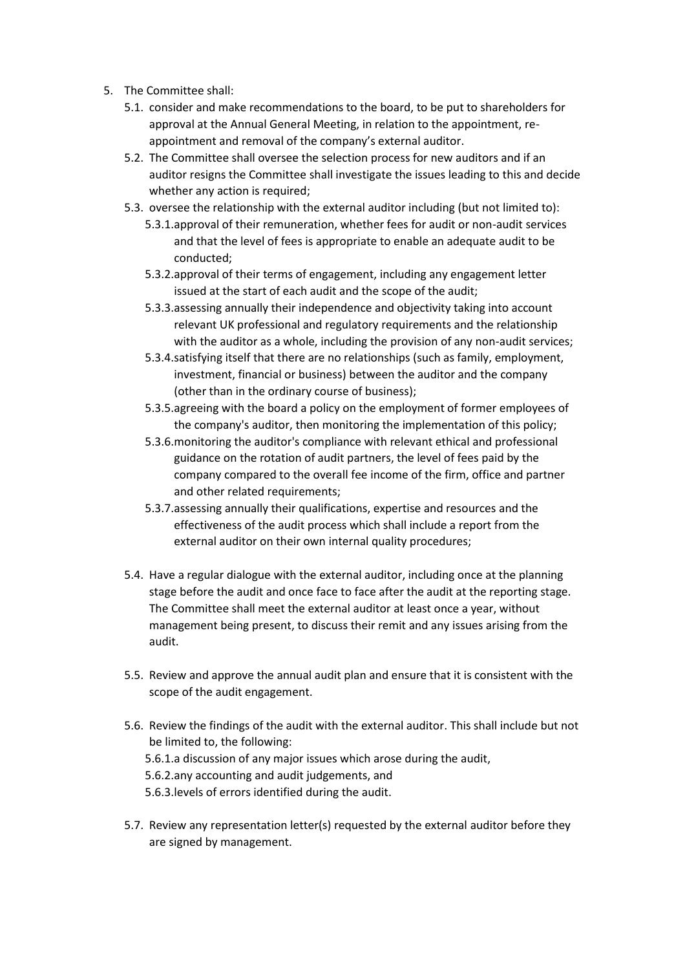- 5. The Committee shall:
	- 5.1. consider and make recommendations to the board, to be put to shareholders for approval at the Annual General Meeting, in relation to the appointment, reappointment and removal of the company's external auditor.
	- 5.2. The Committee shall oversee the selection process for new auditors and if an auditor resigns the Committee shall investigate the issues leading to this and decide whether any action is required;
	- 5.3. oversee the relationship with the external auditor including (but not limited to):
		- 5.3.1.approval of their remuneration, whether fees for audit or non-audit services and that the level of fees is appropriate to enable an adequate audit to be conducted;
		- 5.3.2.approval of their terms of engagement, including any engagement letter issued at the start of each audit and the scope of the audit;
		- 5.3.3.assessing annually their independence and objectivity taking into account relevant UK professional and regulatory requirements and the relationship with the auditor as a whole, including the provision of any non-audit services;
		- 5.3.4.satisfying itself that there are no relationships (such as family, employment, investment, financial or business) between the auditor and the company (other than in the ordinary course of business);
		- 5.3.5.agreeing with the board a policy on the employment of former employees of the company's auditor, then monitoring the implementation of this policy;
		- 5.3.6.monitoring the auditor's compliance with relevant ethical and professional guidance on the rotation of audit partners, the level of fees paid by the company compared to the overall fee income of the firm, office and partner and other related requirements;
		- 5.3.7.assessing annually their qualifications, expertise and resources and the effectiveness of the audit process which shall include a report from the external auditor on their own internal quality procedures;
	- 5.4. Have a regular dialogue with the external auditor, including once at the planning stage before the audit and once face to face after the audit at the reporting stage. The Committee shall meet the external auditor at least once a year, without management being present, to discuss their remit and any issues arising from the audit.
	- 5.5. Review and approve the annual audit plan and ensure that it is consistent with the scope of the audit engagement.
	- 5.6. Review the findings of the audit with the external auditor. This shall include but not be limited to, the following: 5.6.1.a discussion of any major issues which arose during the audit, 5.6.2.any accounting and audit judgements, and 5.6.3.levels of errors identified during the audit.
	- 5.7. Review any representation letter(s) requested by the external auditor before they are signed by management.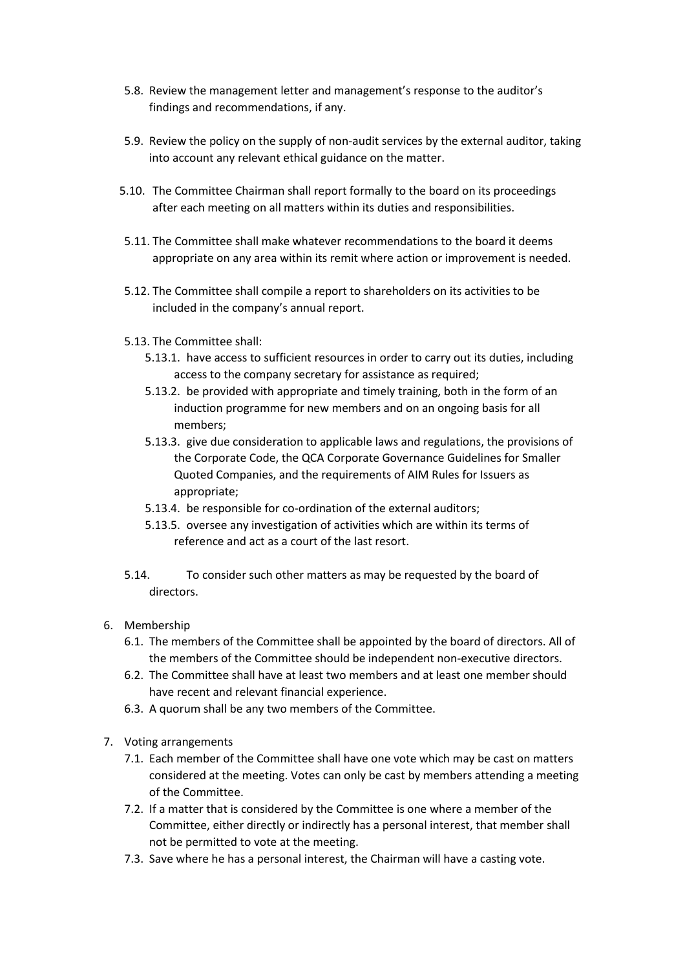- 5.8. Review the management letter and management's response to the auditor's findings and recommendations, if any.
- 5.9. Review the policy on the supply of non-audit services by the external auditor, taking into account any relevant ethical guidance on the matter.
- 5.10. The Committee Chairman shall report formally to the board on its proceedings after each meeting on all matters within its duties and responsibilities.
- 5.11. The Committee shall make whatever recommendations to the board it deems appropriate on any area within its remit where action or improvement is needed.
- 5.12. The Committee shall compile a report to shareholders on its activities to be included in the company's annual report.
- 5.13. The Committee shall:
	- 5.13.1. have access to sufficient resources in order to carry out its duties, including access to the company secretary for assistance as required;
	- 5.13.2. be provided with appropriate and timely training, both in the form of an induction programme for new members and on an ongoing basis for all members;
	- 5.13.3. give due consideration to applicable laws and regulations, the provisions of the Corporate Code, the QCA Corporate Governance Guidelines for Smaller Quoted Companies, and the requirements of AIM Rules for Issuers as appropriate;
	- 5.13.4. be responsible for co-ordination of the external auditors;
	- 5.13.5. oversee any investigation of activities which are within its terms of reference and act as a court of the last resort.
- 5.14. To consider such other matters as may be requested by the board of directors.
- 6. Membership
	- 6.1. The members of the Committee shall be appointed by the board of directors. All of the members of the Committee should be independent non-executive directors.
	- 6.2. The Committee shall have at least two members and at least one member should have recent and relevant financial experience.
	- 6.3. A quorum shall be any two members of the Committee.
- 7. Voting arrangements
	- 7.1. Each member of the Committee shall have one vote which may be cast on matters considered at the meeting. Votes can only be cast by members attending a meeting of the Committee.
	- 7.2. If a matter that is considered by the Committee is one where a member of the Committee, either directly or indirectly has a personal interest, that member shall not be permitted to vote at the meeting.
	- 7.3. Save where he has a personal interest, the Chairman will have a casting vote.